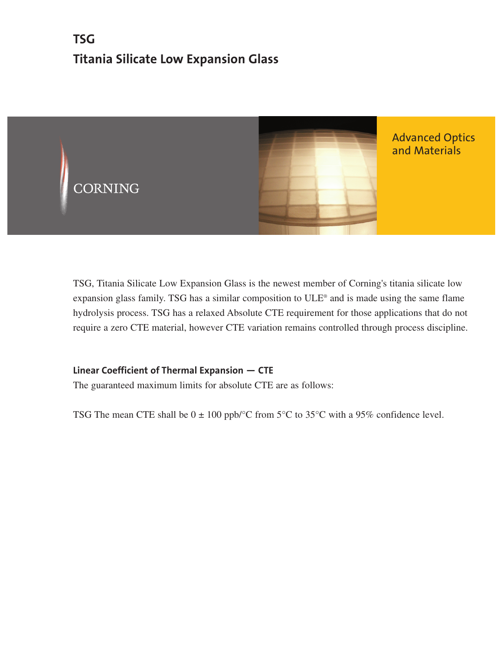# **TSG Titania Silicate Low Expansion Glass**



TSG, Titania Silicate Low Expansion Glass is the newest member of Corning's titania silicate low expansion glass family. TSG has a similar composition to ULE® and is made using the same flame hydrolysis process. TSG has a relaxed Absolute CTE requirement for those applications that do not require a zero CTE material, however CTE variation remains controlled through process discipline.

# **Linear Coefficient of Thermal Expansion — CTE**

The guaranteed maximum limits for absolute CTE are as follows:

TSG The mean CTE shall be  $0 \pm 100$  ppb/ $\degree$ C from 5 $\degree$ C to 35 $\degree$ C with a 95% confidence level.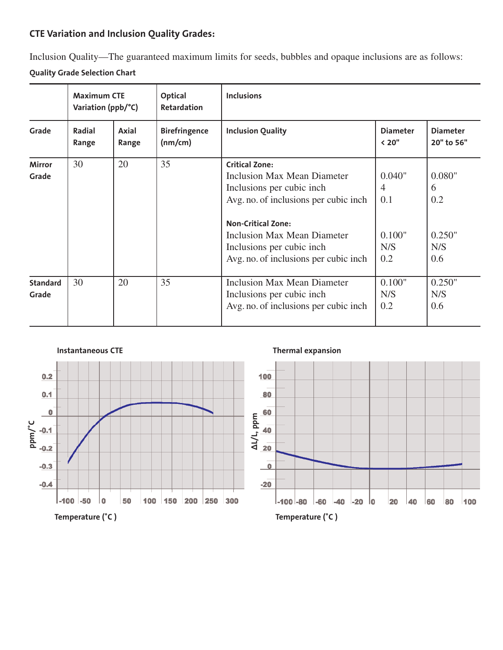# **CTE Variation and Inclusion Quality Grades:**

Inclusion Quality—The guaranteed maximum limits for seeds, bubbles and opaque inclusions are as follows:

# **Quality Grade Selection Chart**

|                          | <b>Maximum CTE</b><br>Variation (ppb/°C) |                | Optical<br><b>Retardation</b>   | <b>Inclusions</b>                                                                                                                                                                                                                                                |                                                         |                                            |
|--------------------------|------------------------------------------|----------------|---------------------------------|------------------------------------------------------------------------------------------------------------------------------------------------------------------------------------------------------------------------------------------------------------------|---------------------------------------------------------|--------------------------------------------|
| Grade                    | Radial<br>Range                          | Axial<br>Range | <b>Birefringence</b><br>(nm/cm) | <b>Inclusion Quality</b>                                                                                                                                                                                                                                         | <b>Diameter</b><br>< 20"                                | <b>Diameter</b><br>20" to 56"              |
| <b>Mirror</b><br>Grade   | 30                                       | 20             | 35                              | <b>Critical Zone:</b><br>Inclusion Max Mean Diameter<br>Inclusions per cubic inch.<br>Avg. no. of inclusions per cubic inch.<br><b>Non-Critical Zone:</b><br>Inclusion Max Mean Diameter<br>Inclusions per cubic inch.<br>Avg. no. of inclusions per cubic inch. | 0.040"<br>$\overline{4}$<br>0.1<br>0.100"<br>N/S<br>0.2 | 0.080"<br>6<br>0.2<br>0.250"<br>N/S<br>0.6 |
| <b>Standard</b><br>Grade | 30                                       | 20             | 35                              | Inclusion Max Mean Diameter<br>Inclusions per cubic inch.<br>Avg. no. of inclusions per cubic inch.                                                                                                                                                              | 0.100"<br>N/S<br>0.2                                    | 0.250"<br>N/S<br>0.6                       |



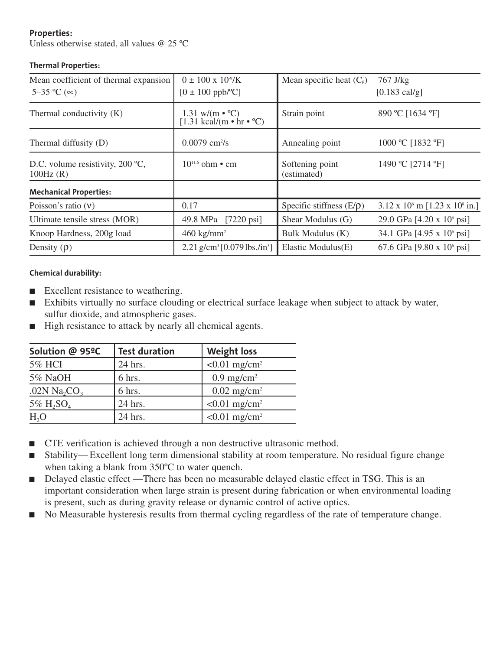# **Properties:**

Unless otherwise stated, all values @ 25 ºC

# **Thermal Properties:**

| Mean coefficient of thermal expansion<br>5–35 °C ( $\infty$ ) | $0 \pm 100 \times 10^{9}$ /K<br>$[0 \pm 100 \text{ ppb}$ <sup>o</sup> C] | Mean specific heat $(C_p)$     | 767 J/kg<br>$[0.183 \text{ cal/g}]$               |
|---------------------------------------------------------------|--------------------------------------------------------------------------|--------------------------------|---------------------------------------------------|
| Thermal conductivity (K)                                      | 1.31 w/(m $\cdot$ °C)<br>[1.31 kcal/(m $\cdot$ hr $\cdot$ °C)            | Strain point                   | 890 °C [1634 °F]                                  |
| Thermal diffusity (D)                                         | $0.0079$ cm <sup>2</sup> /s                                              | Annealing point                | 1000 °C [1832 °F]                                 |
| D.C. volume resistivity, $200 \degree C$ ,<br>100Hz(R)        | $10^{11.6}$ ohm • cm                                                     | Softening point<br>(estimated) | 1490 °C [2714 °F]                                 |
| <b>Mechanical Properties:</b>                                 |                                                                          |                                |                                                   |
| Poisson's ratio $(V)$                                         | 0.17                                                                     | Specific stiffness $(E/\rho)$  | $3.12 \times 10^6$ m [1.23 x 10 <sup>8</sup> in.] |
| Ultimate tensile stress (MOR)                                 | 49.8 MPa [7220 psi]                                                      | Shear Modulus (G)              | 29.0 GPa [4.20 x 10 <sup>6</sup> psi]             |
| Knoop Hardness, 200g load                                     | $460 \text{ kg/mm}^2$                                                    | Bulk Modulus (K)               | 34.1 GPa [4.95 x 10 <sup>6</sup> psi]             |
| Density $(\rho)$                                              | 2.21 g/cm <sup>3</sup> [0.079 lbs./in <sup>3</sup> ]                     | Elastic Modulus(E)             | 67.6 GPa [9.80 x 10 $^6$ psi]                     |

## **Chemical durability:**

- Excellent resistance to weathering.
- Exhibits virtually no surface clouding or electrical surface leakage when subject to attack by water, sulfur dioxide, and atmospheric gases.
- High resistance to attack by nearly all chemical agents.

| Solution @ 95ºC                      | <b>Test duration</b> | <b>Weight loss</b>          |
|--------------------------------------|----------------------|-----------------------------|
| <b>5% HCI</b>                        | 24 hrs.              | $< 0.01$ mg/cm <sup>2</sup> |
| 5% NaOH                              | 6 hrs.               | $0.9$ mg/cm <sup>2</sup>    |
| .02N Na <sub>2</sub> CO <sub>3</sub> | 6 hrs.               | $0.02$ mg/cm <sup>2</sup>   |
| 5% $H_2SO_4$                         | 24 hrs.              | $< 0.01$ mg/cm <sup>2</sup> |
| H <sub>2</sub> O                     | 24 hrs.              | $< 0.01$ mg/cm <sup>2</sup> |

- CTE verification is achieved through a non destructive ultrasonic method.
- Stability—Excellent long term dimensional stability at room temperature. No residual figure change when taking a blank from 350ºC to water quench.
- Delayed elastic effect —There has been no measurable delayed elastic effect in TSG. This is an important consideration when large strain is present during fabrication or when environmental loading is present, such as during gravity release or dynamic control of active optics.
- No Measurable hysteresis results from thermal cycling regardless of the rate of temperature change.